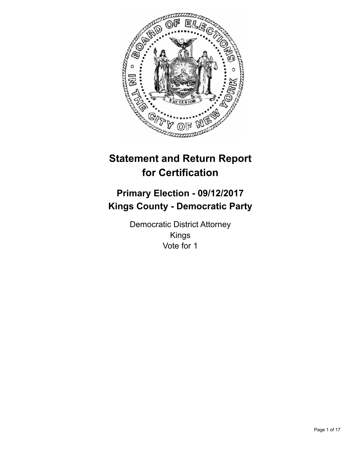

# **Statement and Return Report for Certification**

## **Primary Election - 09/12/2017 Kings County - Democratic Party**

Democratic District Attorney Kings Vote for 1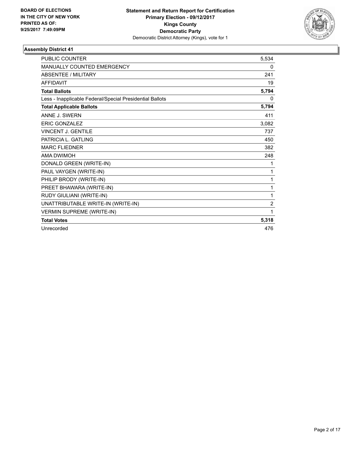

| <b>PUBLIC COUNTER</b>                                    | 5.534          |
|----------------------------------------------------------|----------------|
| MANUALLY COUNTED EMERGENCY                               | 0              |
| <b>ABSENTEE / MILITARY</b>                               | 241            |
| <b>AFFIDAVIT</b>                                         | 19             |
| <b>Total Ballots</b>                                     | 5,794          |
| Less - Inapplicable Federal/Special Presidential Ballots | 0              |
| <b>Total Applicable Ballots</b>                          | 5,794          |
| ANNE J. SWERN                                            | 411            |
| <b>ERIC GONZALEZ</b>                                     | 3,082          |
| <b>VINCENT J. GENTILE</b>                                | 737            |
| PATRICIA L. GATLING                                      | 450            |
| <b>MARC FLIEDNER</b>                                     | 382            |
| <b>AMA DWIMOH</b>                                        | 248            |
| DONALD GREEN (WRITE-IN)                                  | 1              |
| PAUL VAYGEN (WRITE-IN)                                   | 1              |
| PHILIP BRODY (WRITE-IN)                                  | 1              |
| PREET BHAWARA (WRITE-IN)                                 | 1              |
| RUDY GIULIANI (WRITE-IN)                                 | $\mathbf{1}$   |
| UNATTRIBUTABLE WRITE-IN (WRITE-IN)                       | $\overline{2}$ |
| <b>VERMIN SUPREME (WRITE-IN)</b>                         | 1              |
| <b>Total Votes</b>                                       | 5,318          |
| Unrecorded                                               | 476            |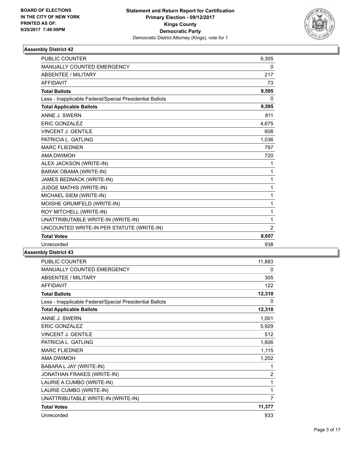

| <b>PUBLIC COUNTER</b>                                    | 9,305          |
|----------------------------------------------------------|----------------|
| <b>MANUALLY COUNTED EMERGENCY</b>                        | 0              |
| <b>ABSENTEE / MILITARY</b>                               | 217            |
| <b>AFFIDAVIT</b>                                         | 73             |
| <b>Total Ballots</b>                                     | 9,595          |
| Less - Inapplicable Federal/Special Presidential Ballots | $\mathbf{0}$   |
| <b>Total Applicable Ballots</b>                          | 9,595          |
| ANNE J. SWERN                                            | 811            |
| <b>ERIC GONZALEZ</b>                                     | 4,675          |
| <b>VINCENT J. GENTILE</b>                                | 608            |
| PATRICIA L. GATLING                                      | 1,036          |
| <b>MARC FLIEDNER</b>                                     | 797            |
| <b>AMA DWIMOH</b>                                        | 720            |
| ALEX JACKSON (WRITE-IN)                                  | 1              |
| BARAK OBAMA (WRITE-IN)                                   | 1              |
| JAMES BEDNACK (WRITE-IN)                                 | 1              |
| JUDGE MATHIS (WRITE-IN)                                  | 1              |
| MICHAEL SIEM (WRITE-IN)                                  | 1              |
| MOISHE GRUMFELD (WRITE-IN)                               | 1              |
| ROY MITCHELL (WRITE-IN)                                  | 1              |
| UNATTRIBUTABLE WRITE-IN (WRITE-IN)                       | 1              |
| UNCOUNTED WRITE-IN PER STATUTE (WRITE-IN)                | $\overline{2}$ |
| <b>Total Votes</b>                                       | 8,657          |
| Unrecorded                                               | 938            |

| <b>PUBLIC COUNTER</b>                                    | 11,883         |
|----------------------------------------------------------|----------------|
| MANUALLY COUNTED EMERGENCY                               | 0              |
| <b>ABSENTEE / MILITARY</b>                               | 305            |
| <b>AFFIDAVIT</b>                                         | 122            |
| <b>Total Ballots</b>                                     | 12,310         |
| Less - Inapplicable Federal/Special Presidential Ballots | 0              |
| <b>Total Applicable Ballots</b>                          | 12,310         |
| ANNE J. SWERN                                            | 1,001          |
| <b>ERIC GONZALEZ</b>                                     | 5,929          |
| <b>VINCENT J. GENTILE</b>                                | 512            |
| PATRICIA L. GATLING                                      | 1,606          |
| <b>MARC FLIEDNER</b>                                     | 1,115          |
| <b>AMA DWIMOH</b>                                        | 1,202          |
| BABARA L JAY (WRITE-IN)                                  | 1              |
| JONATHAN FRAKES (WRITE-IN)                               | $\overline{2}$ |
| LAURIE A CUMBO (WRITE-IN)                                | 1              |
| LAURIE CUMBO (WRITE-IN)                                  | 1              |
| UNATTRIBUTABLE WRITE-IN (WRITE-IN)                       | $\overline{7}$ |
| <b>Total Votes</b>                                       | 11,377         |
| Unrecorded                                               | 933            |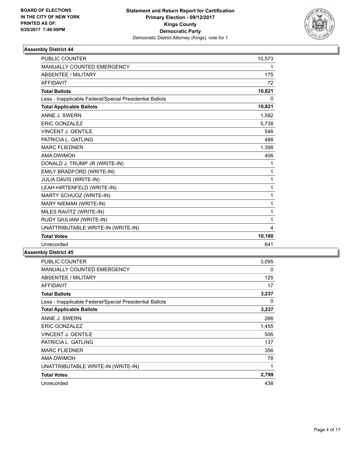

| <b>PUBLIC COUNTER</b>                                    | 10,573 |
|----------------------------------------------------------|--------|
| MANUALLY COUNTED EMERGENCY                               | 1      |
| <b>ABSENTEE / MILITARY</b>                               | 175    |
| <b>AFFIDAVIT</b>                                         | 72     |
| <b>Total Ballots</b>                                     | 10,821 |
| Less - Inapplicable Federal/Special Presidential Ballots | 0      |
| <b>Total Applicable Ballots</b>                          | 10,821 |
| ANNE J. SWERN                                            | 1,592  |
| <b>ERIC GONZALEZ</b>                                     | 5,738  |
| VINCENT J. GENTILE                                       | 546    |
| PATRICIA L. GATLING                                      | 488    |
| <b>MARC FLIEDNER</b>                                     | 1,398  |
| <b>AMA DWIMOH</b>                                        | 406    |
| DONALD J. TRUMP JR (WRITE-IN)                            | 1      |
| EMILY BRADFORD (WRITE-IN)                                | 1      |
| JULIA DAVIS (WRITE-IN)                                   | 1      |
| LEAH HIRTENFELD (WRITE-IN)                               | 1      |
| MARTY SCHUOZ (WRITE-IN)                                  | 1      |
| MARY NIEMAN (WRITE-IN)                                   | 1      |
| MILES RAVITZ (WRITE-IN)                                  | 1      |
| RUDY GIULIANI (WRITE-IN)                                 | 1      |
| UNATTRIBUTABLE WRITE-IN (WRITE-IN)                       | 4      |
| <b>Total Votes</b>                                       | 10,180 |
| Unrecorded                                               | 641    |

| <b>PUBLIC COUNTER</b>                                    | 3,095 |
|----------------------------------------------------------|-------|
| <b>MANUALLY COUNTED EMERGENCY</b>                        | 0     |
| ABSENTEE / MILITARY                                      | 125   |
| <b>AFFIDAVIT</b>                                         | 17    |
| <b>Total Ballots</b>                                     | 3,237 |
| Less - Inapplicable Federal/Special Presidential Ballots | 0     |
| <b>Total Applicable Ballots</b>                          | 3,237 |
| ANNE J. SWERN                                            | 266   |
| <b>ERIC GONZALEZ</b>                                     | 1,455 |
| <b>VINCENT J. GENTILE</b>                                | 506   |
| PATRICIA L. GATLING                                      | 137   |
| <b>MARC FLIEDNER</b>                                     | 356   |
| <b>AMA DWIMOH</b>                                        | 78    |
| UNATTRIBUTABLE WRITE-IN (WRITE-IN)                       | 1     |
| <b>Total Votes</b>                                       | 2,799 |
| Unrecorded                                               | 438   |
|                                                          |       |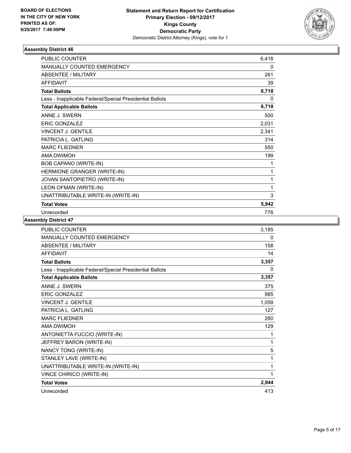

| <b>PUBLIC COUNTER</b>                                    | 6,418    |
|----------------------------------------------------------|----------|
| <b>MANUALLY COUNTED EMERGENCY</b>                        | $\Omega$ |
| ABSENTEE / MILITARY                                      | 261      |
| AFFIDAVIT                                                | 39       |
| <b>Total Ballots</b>                                     | 6,718    |
| Less - Inapplicable Federal/Special Presidential Ballots | 0        |
| <b>Total Applicable Ballots</b>                          | 6,718    |
| ANNE J. SWERN                                            | 500      |
| <b>ERIC GONZALEZ</b>                                     | 2,031    |
| <b>VINCENT J. GENTILE</b>                                | 2,341    |
| PATRICIA L. GATLING                                      | 314      |
| <b>MARC FLIEDNER</b>                                     | 550      |
| <b>AMA DWIMOH</b>                                        | 199      |
| <b>BOB CAPANO (WRITE-IN)</b>                             | 1        |
| HERMIONE GRANGER (WRITE-IN)                              | 1        |
| JOVAN SANTOPIETRO (WRITE-IN)                             | 1        |
| LEON OFMAN (WRITE-IN)                                    | 1        |
| UNATTRIBUTABLE WRITE-IN (WRITE-IN)                       | 3        |
| <b>Total Votes</b>                                       | 5,942    |
| Unrecorded                                               | 776      |

| PUBLIC COUNTER                                           | 3,185 |
|----------------------------------------------------------|-------|
| <b>MANUALLY COUNTED EMERGENCY</b>                        | 0     |
| <b>ABSENTEE / MILITARY</b>                               | 158   |
| <b>AFFIDAVIT</b>                                         | 14    |
| <b>Total Ballots</b>                                     | 3,357 |
| Less - Inapplicable Federal/Special Presidential Ballots | 0     |
| <b>Total Applicable Ballots</b>                          | 3,357 |
| ANNE J. SWERN                                            | 375   |
| <b>ERIC GONZALEZ</b>                                     | 985   |
| <b>VINCENT J. GENTILE</b>                                | 1,058 |
| PATRICIA L. GATLING                                      | 127   |
| <b>MARC FLIEDNER</b>                                     | 260   |
| <b>AMA DWIMOH</b>                                        | 129   |
| ANTONIETTA FUCCIO (WRITE-IN)                             | 1     |
| JEFFREY BARON (WRITE-IN)                                 | 1     |
| NANCY TONG (WRITE-IN)                                    | 5     |
| STANLEY LAVE (WRITE-IN)                                  | 1     |
| UNATTRIBUTABLE WRITE-IN (WRITE-IN)                       | 1     |
| VINCE CHIRICO (WRITE-IN)                                 | 1     |
| <b>Total Votes</b>                                       | 2,944 |
| Unrecorded                                               | 413   |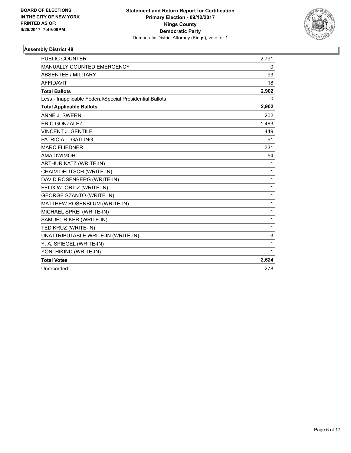

| <b>PUBLIC COUNTER</b>                                    | 2,791 |
|----------------------------------------------------------|-------|
| MANUALLY COUNTED EMERGENCY                               | 0     |
| <b>ABSENTEE / MILITARY</b>                               | 93    |
| <b>AFFIDAVIT</b>                                         | 18    |
| <b>Total Ballots</b>                                     | 2,902 |
| Less - Inapplicable Federal/Special Presidential Ballots | 0     |
| <b>Total Applicable Ballots</b>                          | 2,902 |
| ANNE J. SWERN                                            | 202   |
| <b>ERIC GONZALEZ</b>                                     | 1,483 |
| <b>VINCENT J. GENTILE</b>                                | 449   |
| PATRICIA L. GATLING                                      | 91    |
| <b>MARC FLIEDNER</b>                                     | 331   |
| <b>AMA DWIMOH</b>                                        | 54    |
| ARTHUR KATZ (WRITE-IN)                                   | 1     |
| CHAIM DEUTSCH (WRITE-IN)                                 | 1     |
| DAVID ROSENBERG (WRITE-IN)                               | 1     |
| FELIX W. ORTIZ (WRITE-IN)                                | 1     |
| <b>GEORGE SZANTO (WRITE-IN)</b>                          | 1     |
| MATTHEW ROSENBLUM (WRITE-IN)                             | 1     |
| MICHAEL SPREI (WRITE-IN)                                 | 1     |
| SAMUEL RIKER (WRITE-IN)                                  | 1     |
| TED KRUZ (WRITE-IN)                                      | 1     |
| UNATTRIBUTABLE WRITE-IN (WRITE-IN)                       | 3     |
| Y. A. SPIEGEL (WRITE-IN)                                 | 1     |
| YONI HIKIND (WRITE-IN)                                   | 1     |
| <b>Total Votes</b>                                       | 2,624 |
| Unrecorded                                               | 278   |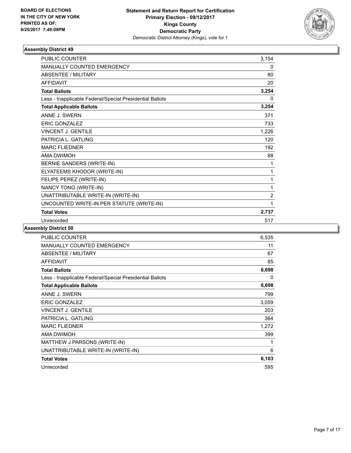

| <b>PUBLIC COUNTER</b>                                    | 3,154          |
|----------------------------------------------------------|----------------|
| MANUALLY COUNTED EMERGENCY                               | 0              |
| <b>ABSENTEE / MILITARY</b>                               | 80             |
| <b>AFFIDAVIT</b>                                         | 20             |
| <b>Total Ballots</b>                                     | 3,254          |
| Less - Inapplicable Federal/Special Presidential Ballots | 0              |
| <b>Total Applicable Ballots</b>                          | 3,254          |
| ANNE J. SWERN                                            | 371            |
| <b>ERIC GONZALEZ</b>                                     | 733            |
| <b>VINCENT J. GENTILE</b>                                | 1,226          |
| PATRICIA L. GATLING                                      | 120            |
| <b>MARC FLIEDNER</b>                                     | 192            |
| AMA DWIMOH                                               | 88             |
| BERNIE SANDERS (WRITE-IN)                                | 1              |
| ELYATEEMS KHODOR (WRITE-IN)                              | 1              |
| FELIPE PEREZ (WRITE-IN)                                  | 1              |
| NANCY TONG (WRITE-IN)                                    | 1              |
| UNATTRIBUTABLE WRITE-IN (WRITE-IN)                       | $\overline{2}$ |
| UNCOUNTED WRITE-IN PER STATUTE (WRITE-IN)                | 1              |
| <b>Total Votes</b>                                       | 2,737          |
| Unrecorded                                               | 517            |

| <b>PUBLIC COUNTER</b>                                    | 6,535 |
|----------------------------------------------------------|-------|
| <b>MANUALLY COUNTED EMERGENCY</b>                        | 11    |
| ABSENTEE / MILITARY                                      | 67    |
| <b>AFFIDAVIT</b>                                         | 85    |
| <b>Total Ballots</b>                                     | 6,698 |
| Less - Inapplicable Federal/Special Presidential Ballots | 0     |
| <b>Total Applicable Ballots</b>                          | 6,698 |
| ANNE J. SWERN                                            | 799   |
| <b>ERIC GONZALEZ</b>                                     | 3,059 |
| <b>VINCENT J. GENTILE</b>                                | 203   |
| PATRICIA L. GATLING                                      | 364   |
| <b>MARC FLIEDNER</b>                                     | 1,272 |
| AMA DWIMOH                                               | 399   |
| MATTHEW J PARSONS (WRITE-IN)                             | 1     |
| UNATTRIBUTABLE WRITE-IN (WRITE-IN)                       | 6     |
| <b>Total Votes</b>                                       | 6,103 |
| Unrecorded                                               | 595   |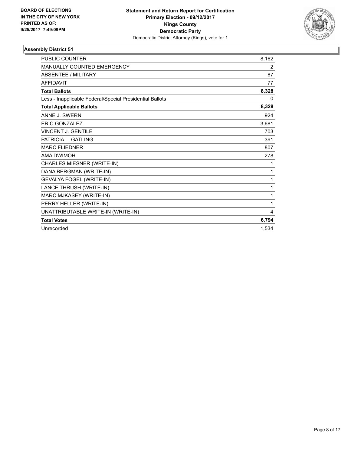

| <b>PUBLIC COUNTER</b>                                    | 8.162 |
|----------------------------------------------------------|-------|
| MANUALLY COUNTED EMERGENCY                               | 2     |
| ABSENTEE / MILITARY                                      | 87    |
| <b>AFFIDAVIT</b>                                         | 77    |
| <b>Total Ballots</b>                                     | 8,328 |
| Less - Inapplicable Federal/Special Presidential Ballots | 0     |
| <b>Total Applicable Ballots</b>                          | 8,328 |
| ANNE J. SWERN                                            | 924   |
| <b>ERIC GONZALEZ</b>                                     | 3,681 |
| <b>VINCENT J. GENTILE</b>                                | 703   |
| PATRICIA L. GATLING                                      | 391   |
| <b>MARC FLIEDNER</b>                                     | 807   |
| <b>AMA DWIMOH</b>                                        | 278   |
| CHARLES MIESNER (WRITE-IN)                               | 1     |
| DANA BERGMAN (WRITE-IN)                                  | 1     |
| <b>GEVALYA FOGEL (WRITE-IN)</b>                          | 1     |
| LANCE THRUSH (WRITE-IN)                                  | 1     |
| MARC MJKASEY (WRITE-IN)                                  | 1     |
| PERRY HELLER (WRITE-IN)                                  | 1     |
| UNATTRIBUTABLE WRITE-IN (WRITE-IN)                       | 4     |
| <b>Total Votes</b>                                       | 6,794 |
| Unrecorded                                               | 1,534 |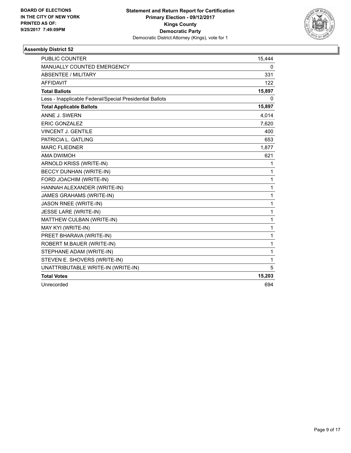

| <b>PUBLIC COUNTER</b>                                    | 15,444       |
|----------------------------------------------------------|--------------|
| <b>MANUALLY COUNTED EMERGENCY</b>                        | 0            |
| ABSENTEE / MILITARY                                      | 331          |
| <b>AFFIDAVIT</b>                                         | 122          |
| <b>Total Ballots</b>                                     | 15,897       |
| Less - Inapplicable Federal/Special Presidential Ballots | 0            |
| <b>Total Applicable Ballots</b>                          | 15,897       |
| ANNE J. SWERN                                            | 4,014        |
| <b>ERIC GONZALEZ</b>                                     | 7,620        |
| <b>VINCENT J. GENTILE</b>                                | 400          |
| PATRICIA L. GATLING                                      | 653          |
| <b>MARC FLIEDNER</b>                                     | 1,877        |
| AMA DWIMOH                                               | 621          |
| ARNOLD KRISS (WRITE-IN)                                  | 1            |
| <b>BECCY DUNHAN (WRITE-IN)</b>                           | 1            |
| FORD JOACHIM (WRITE-IN)                                  | $\mathbf{1}$ |
| HANNAH ALEXANDER (WRITE-IN)                              | $\mathbf{1}$ |
| JAMES GRAHAMS (WRITE-IN)                                 | 1            |
| JASON RNEE (WRITE-IN)                                    | $\mathbf{1}$ |
| JESSE LARE (WRITE-IN)                                    | $\mathbf 1$  |
| MATTHEW CULBAN (WRITE-IN)                                | 1            |
| MAY KYI (WRITE-IN)                                       | 1            |
| PREET BHARAVA (WRITE-IN)                                 | 1            |
| ROBERT M.BAUER (WRITE-IN)                                | $\mathbf{1}$ |
| STEPHANE ADAM (WRITE-IN)                                 | 1            |
| STEVEN E. SHOVERS (WRITE-IN)                             | $\mathbf{1}$ |
| UNATTRIBUTABLE WRITE-IN (WRITE-IN)                       | 5            |
| <b>Total Votes</b>                                       | 15,203       |
| Unrecorded                                               | 694          |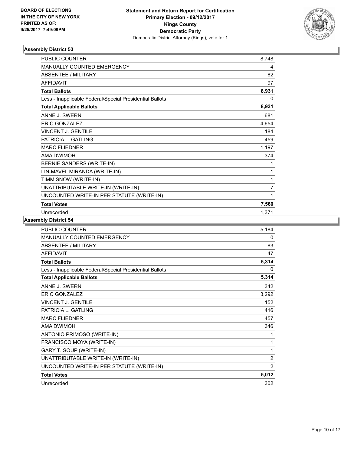

| <b>PUBLIC COUNTER</b>                                    | 8,748          |
|----------------------------------------------------------|----------------|
| <b>MANUALLY COUNTED EMERGENCY</b>                        | 4              |
| <b>ABSENTEE / MILITARY</b>                               | 82             |
| <b>AFFIDAVIT</b>                                         | 97             |
| <b>Total Ballots</b>                                     | 8,931          |
| Less - Inapplicable Federal/Special Presidential Ballots | 0              |
| <b>Total Applicable Ballots</b>                          | 8,931          |
| ANNE J. SWERN                                            | 681            |
| <b>ERIC GONZALEZ</b>                                     | 4,654          |
| <b>VINCENT J. GENTILE</b>                                | 184            |
| PATRICIA L. GATLING                                      | 459            |
| <b>MARC FLIEDNER</b>                                     | 1,197          |
| AMA DWIMOH                                               | 374            |
| BERNIE SANDERS (WRITE-IN)                                | 1              |
| LIN-MAVEL MIRANDA (WRITE-IN)                             | 1              |
| TIMM SNOW (WRITE-IN)                                     | 1              |
| UNATTRIBUTABLE WRITE-IN (WRITE-IN)                       | $\overline{7}$ |
| UNCOUNTED WRITE-IN PER STATUTE (WRITE-IN)                | 1              |
| <b>Total Votes</b>                                       | 7,560          |
| Unrecorded                                               | 1,371          |

| PUBLIC COUNTER                                           | 5,184          |
|----------------------------------------------------------|----------------|
| MANUALLY COUNTED EMERGENCY                               | 0              |
| <b>ABSENTEE / MILITARY</b>                               | 83             |
| <b>AFFIDAVIT</b>                                         | 47             |
| <b>Total Ballots</b>                                     | 5,314          |
| Less - Inapplicable Federal/Special Presidential Ballots | 0              |
| <b>Total Applicable Ballots</b>                          | 5,314          |
| ANNE J. SWERN                                            | 342            |
| <b>ERIC GONZALEZ</b>                                     | 3,292          |
| <b>VINCENT J. GENTILE</b>                                | 152            |
| PATRICIA L. GATLING                                      | 416            |
| <b>MARC FLIEDNER</b>                                     | 457            |
| AMA DWIMOH                                               | 346            |
| ANTONIO PRIMOSO (WRITE-IN)                               | 1              |
| FRANCISCO MOYA (WRITE-IN)                                | 1              |
| GARY T. SOUP (WRITE-IN)                                  | 1              |
| UNATTRIBUTABLE WRITE-IN (WRITE-IN)                       | $\overline{2}$ |
| UNCOUNTED WRITE-IN PER STATUTE (WRITE-IN)                | 2              |
| <b>Total Votes</b>                                       | 5,012          |
| Unrecorded                                               | 302            |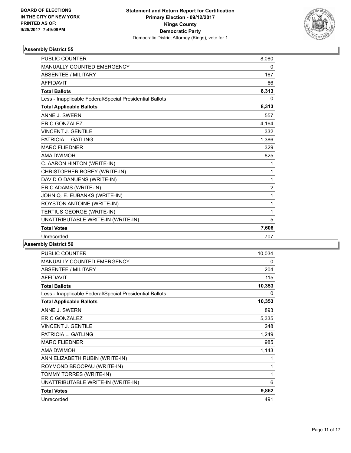

| <b>PUBLIC COUNTER</b>                                    | 8,080          |
|----------------------------------------------------------|----------------|
| <b>MANUALLY COUNTED EMERGENCY</b>                        | 0              |
| <b>ABSENTEE / MILITARY</b>                               | 167            |
| <b>AFFIDAVIT</b>                                         | 66             |
| <b>Total Ballots</b>                                     | 8,313          |
| Less - Inapplicable Federal/Special Presidential Ballots | 0              |
| <b>Total Applicable Ballots</b>                          | 8,313          |
| ANNE J. SWERN                                            | 557            |
| <b>ERIC GONZALEZ</b>                                     | 4.164          |
| <b>VINCENT J. GENTILE</b>                                | 332            |
| PATRICIA L. GATLING                                      | 1,386          |
| <b>MARC FLIEDNER</b>                                     | 329            |
| <b>AMA DWIMOH</b>                                        | 825            |
| C. AARON HINTON (WRITE-IN)                               | 1              |
| CHRISTOPHER BOREY (WRITE-IN)                             | 1              |
| DAVID O DANUENS (WRITE-IN)                               | $\mathbf{1}$   |
| ERIC ADAMS (WRITE-IN)                                    | $\overline{2}$ |
| JOHN Q. E. EUBANKS (WRITE-IN)                            | 1              |
| ROYSTON ANTOINE (WRITE-IN)                               | 1              |
| TERTIUS GEORGE (WRITE-IN)                                | 1              |
| UNATTRIBUTABLE WRITE-IN (WRITE-IN)                       | 5              |
| <b>Total Votes</b>                                       | 7,606          |
| Unrecorded                                               | 707            |
|                                                          |                |

| <b>PUBLIC COUNTER</b>                                    | 10,034 |
|----------------------------------------------------------|--------|
| <b>MANUALLY COUNTED EMERGENCY</b>                        | 0      |
| ABSENTEE / MILITARY                                      | 204    |
| AFFIDAVIT                                                | 115    |
| <b>Total Ballots</b>                                     | 10,353 |
| Less - Inapplicable Federal/Special Presidential Ballots | 0      |
| <b>Total Applicable Ballots</b>                          | 10,353 |
| ANNE J. SWERN                                            | 893    |
| <b>ERIC GONZALEZ</b>                                     | 5,335  |
| <b>VINCENT J. GENTILE</b>                                | 248    |
| PATRICIA L. GATLING                                      | 1,249  |
| <b>MARC FLIEDNER</b>                                     | 985    |
| AMA DWIMOH                                               | 1,143  |
| ANN ELIZABETH RUBIN (WRITE-IN)                           | 1      |
| ROYMOND BROOPAU (WRITE-IN)                               | 1      |
| TOMMY TORRES (WRITE-IN)                                  | 1      |
| UNATTRIBUTABLE WRITE-IN (WRITE-IN)                       | 6      |
| <b>Total Votes</b>                                       | 9,862  |
| Unrecorded                                               | 491    |
|                                                          |        |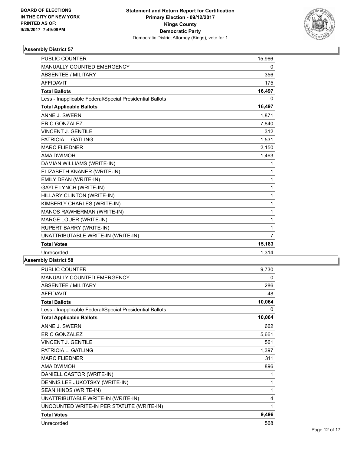

| <b>PUBLIC COUNTER</b>                                    | 15,966 |
|----------------------------------------------------------|--------|
| MANUALLY COUNTED EMERGENCY                               | 0      |
| <b>ABSENTEE / MILITARY</b>                               | 356    |
| <b>AFFIDAVIT</b>                                         | 175    |
| <b>Total Ballots</b>                                     | 16,497 |
| Less - Inapplicable Federal/Special Presidential Ballots | 0      |
| <b>Total Applicable Ballots</b>                          | 16,497 |
| ANNE J. SWERN                                            | 1,871  |
| <b>ERIC GONZALEZ</b>                                     | 7,840  |
| <b>VINCENT J. GENTILE</b>                                | 312    |
| PATRICIA L. GATLING                                      | 1,531  |
| <b>MARC FLIEDNER</b>                                     | 2,150  |
| <b>AMA DWIMOH</b>                                        | 1,463  |
| DAMIAN WILLIAMS (WRITE-IN)                               | 1      |
| ELIZABETH KNANER (WRITE-IN)                              | 1      |
| EMILY DEAN (WRITE-IN)                                    | 1      |
| <b>GAYLE LYNCH (WRITE-IN)</b>                            | 1      |
| HILLARY CLINTON (WRITE-IN)                               | 1      |
| KIMBERLY CHARLES (WRITE-IN)                              | 1      |
| MANOS RAWHERMAN (WRITE-IN)                               | 1      |
| MARGE LOUER (WRITE-IN)                                   | 1      |
| <b>RUPERT BARRY (WRITE-IN)</b>                           | 1      |
| UNATTRIBUTABLE WRITE-IN (WRITE-IN)                       | 7      |
| <b>Total Votes</b>                                       | 15,183 |
| Unrecorded                                               | 1,314  |

| <b>PUBLIC COUNTER</b>                                    | 9,730  |
|----------------------------------------------------------|--------|
| <b>MANUALLY COUNTED EMERGENCY</b>                        | 0      |
| <b>ABSENTEE / MILITARY</b>                               | 286    |
| <b>AFFIDAVIT</b>                                         | 48     |
| <b>Total Ballots</b>                                     | 10,064 |
| Less - Inapplicable Federal/Special Presidential Ballots | 0      |
| <b>Total Applicable Ballots</b>                          | 10,064 |
| ANNE J. SWERN                                            | 662    |
| <b>ERIC GONZALEZ</b>                                     | 5,661  |
| <b>VINCENT J. GENTILE</b>                                | 561    |
| PATRICIA L. GATLING                                      | 1,397  |
| <b>MARC FLIEDNER</b>                                     | 311    |
| <b>AMA DWIMOH</b>                                        | 896    |
| DANIELL CASTOR (WRITE-IN)                                | 1      |
| DENNIS LEE JUKOTSKY (WRITE-IN)                           | 1      |
| SEAN HINDS (WRITE-IN)                                    | 1      |
| UNATTRIBUTABLE WRITE-IN (WRITE-IN)                       | 4      |
| UNCOUNTED WRITE-IN PER STATUTE (WRITE-IN)                | 1      |
| <b>Total Votes</b>                                       | 9,496  |
| Unrecorded                                               | 568    |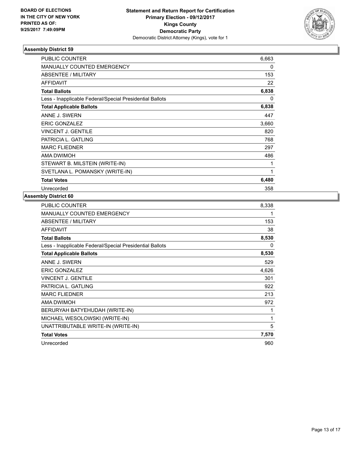

| <b>PUBLIC COUNTER</b>                                    | 6,663 |
|----------------------------------------------------------|-------|
| <b>MANUALLY COUNTED EMERGENCY</b>                        | 0     |
| ABSENTEE / MILITARY                                      | 153   |
| <b>AFFIDAVIT</b>                                         | 22    |
| <b>Total Ballots</b>                                     | 6,838 |
| Less - Inapplicable Federal/Special Presidential Ballots | 0     |
| <b>Total Applicable Ballots</b>                          | 6,838 |
| ANNE J. SWERN                                            | 447   |
| <b>ERIC GONZALEZ</b>                                     | 3,660 |
| <b>VINCENT J. GENTILE</b>                                | 820   |
| PATRICIA L. GATLING                                      | 768   |
| <b>MARC FLIEDNER</b>                                     | 297   |
| AMA DWIMOH                                               | 486   |
| STEWART B. MILSTEIN (WRITE-IN)                           |       |
| SVETLANA L. POMANSKY (WRITE-IN)                          | 1     |
| <b>Total Votes</b>                                       | 6,480 |
| Unrecorded                                               | 358   |

| <b>PUBLIC COUNTER</b>                                    | 8,338 |
|----------------------------------------------------------|-------|
| <b>MANUALLY COUNTED EMERGENCY</b>                        | 1     |
| ABSENTEE / MILITARY                                      | 153   |
| <b>AFFIDAVIT</b>                                         | 38    |
| <b>Total Ballots</b>                                     | 8,530 |
| Less - Inapplicable Federal/Special Presidential Ballots | 0     |
| <b>Total Applicable Ballots</b>                          | 8,530 |
| ANNE J. SWERN                                            | 529   |
| <b>ERIC GONZALEZ</b>                                     | 4,626 |
| <b>VINCENT J. GENTILE</b>                                | 301   |
| PATRICIA L. GATLING                                      | 922   |
| <b>MARC FLIEDNER</b>                                     | 213   |
| <b>AMA DWIMOH</b>                                        | 972   |
| BERURYAH BATYEHUDAH (WRITE-IN)                           | 1     |
| MICHAEL WESOLOWSKI (WRITE-IN)                            | 1     |
| UNATTRIBUTABLE WRITE-IN (WRITE-IN)                       | 5     |
| <b>Total Votes</b>                                       | 7,570 |
| Unrecorded                                               | 960   |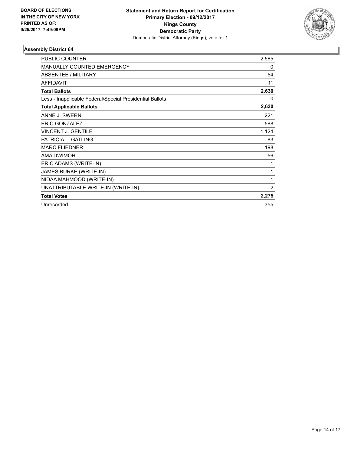

| <b>PUBLIC COUNTER</b>                                    | 2,565    |
|----------------------------------------------------------|----------|
| <b>MANUALLY COUNTED EMERGENCY</b>                        | $\Omega$ |
| <b>ABSENTEE / MILITARY</b>                               | 54       |
| <b>AFFIDAVIT</b>                                         | 11       |
| <b>Total Ballots</b>                                     | 2,630    |
| Less - Inapplicable Federal/Special Presidential Ballots | 0        |
| <b>Total Applicable Ballots</b>                          | 2,630    |
| ANNE J. SWERN                                            | 221      |
| <b>ERIC GONZALEZ</b>                                     | 588      |
| VINCENT J. GENTILE                                       | 1,124    |
| PATRICIA L. GATLING                                      | 83       |
| <b>MARC FLIEDNER</b>                                     | 198      |
| <b>AMA DWIMOH</b>                                        | 56       |
| ERIC ADAMS (WRITE-IN)                                    | 1        |
| JAMES BURKE (WRITE-IN)                                   | 1        |
| NIDAA MAHMOOD (WRITE-IN)                                 | 1        |
| UNATTRIBUTABLE WRITE-IN (WRITE-IN)                       | 2        |
| <b>Total Votes</b>                                       | 2,275    |
| Unrecorded                                               | 355      |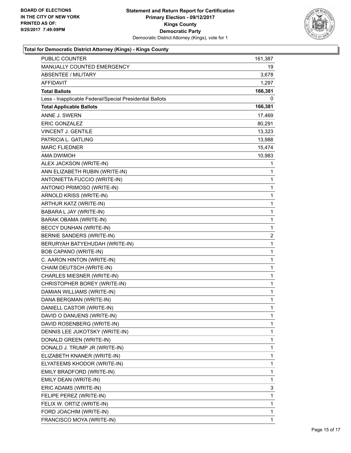

## **Total for Democratic District Attorney (Kings) - Kings County**

| <b>PUBLIC COUNTER</b>                                    | 161,387 |
|----------------------------------------------------------|---------|
| MANUALLY COUNTED EMERGENCY                               | 19      |
| <b>ABSENTEE / MILITARY</b>                               | 3,678   |
| AFFIDAVIT                                                | 1,297   |
| <b>Total Ballots</b>                                     | 166,381 |
| Less - Inapplicable Federal/Special Presidential Ballots | 0       |
| <b>Total Applicable Ballots</b>                          | 166,381 |
| ANNE J. SWERN                                            | 17,469  |
| <b>ERIC GONZALEZ</b>                                     | 80,291  |
| VINCENT J. GENTILE                                       | 13,323  |
| PATRICIA L. GATLING                                      | 13,988  |
| <b>MARC FLIEDNER</b>                                     | 15,474  |
| AMA DWIMOH                                               | 10,983  |
| ALEX JACKSON (WRITE-IN)                                  | 1       |
| ANN ELIZABETH RUBIN (WRITE-IN)                           | 1       |
| ANTONIETTA FUCCIO (WRITE-IN)                             | 1       |
| ANTONIO PRIMOSO (WRITE-IN)                               | 1       |
| ARNOLD KRISS (WRITE-IN)                                  | 1       |
| ARTHUR KATZ (WRITE-IN)                                   | 1       |
| BABARA L JAY (WRITE-IN)                                  | 1       |
| <b>BARAK OBAMA (WRITE-IN)</b>                            | 1       |
| BECCY DUNHAN (WRITE-IN)                                  | 1       |
| BERNIE SANDERS (WRITE-IN)                                | 2       |
| BERURYAH BATYEHUDAH (WRITE-IN)                           | 1       |
| BOB CAPANO (WRITE-IN)                                    | 1       |
| C. AARON HINTON (WRITE-IN)                               | 1       |
| CHAIM DEUTSCH (WRITE-IN)                                 | 1       |
| CHARLES MIESNER (WRITE-IN)                               | 1       |
| CHRISTOPHER BOREY (WRITE-IN)                             | 1       |
| DAMIAN WILLIAMS (WRITE-IN)                               | 1       |
| DANA BERGMAN (WRITE-IN)                                  | 1       |
| DANIELL CASTOR (WRITE-IN)                                | 1       |
| DAVID O DANUENS (WRITE-IN)                               | 1       |
| DAVID ROSENBERG (WRITE-IN)                               | 1       |
| DENNIS LEE JUKOTSKY (WRITE-IN)                           | 1       |
| DONALD GREEN (WRITE-IN)                                  | 1       |
| DONALD J. TRUMP JR (WRITE-IN)                            | 1       |
| ELIZABETH KNANER (WRITE-IN)                              | 1       |
| ELYATEEMS KHODOR (WRITE-IN)                              | 1       |
| EMILY BRADFORD (WRITE-IN)                                | 1       |
| EMILY DEAN (WRITE-IN)                                    | 1       |
| ERIC ADAMS (WRITE-IN)                                    | 3       |
| FELIPE PEREZ (WRITE-IN)                                  | 1       |
| FELIX W. ORTIZ (WRITE-IN)                                | 1       |
| FORD JOACHIM (WRITE-IN)                                  | 1       |
| FRANCISCO MOYA (WRITE-IN)                                | 1       |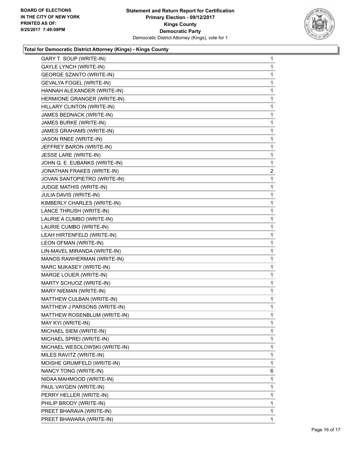

### **Total for Democratic District Attorney (Kings) - Kings County**

| GARY T. SOUP (WRITE-IN)         | 1              |
|---------------------------------|----------------|
| <b>GAYLE LYNCH (WRITE-IN)</b>   | 1              |
| <b>GEORGE SZANTO (WRITE-IN)</b> | 1              |
| GEVALYA FOGEL (WRITE-IN)        | 1              |
| HANNAH ALEXANDER (WRITE-IN)     | 1              |
| HERMIONE GRANGER (WRITE-IN)     | 1              |
| HILLARY CLINTON (WRITE-IN)      | 1              |
| JAMES BEDNACK (WRITE-IN)        | 1              |
| JAMES BURKE (WRITE-IN)          | 1              |
| JAMES GRAHAMS (WRITE-IN)        | 1              |
| <b>JASON RNEE (WRITE-IN)</b>    | 1              |
| JEFFREY BARON (WRITE-IN)        | 1              |
| JESSE LARE (WRITE-IN)           | 1              |
| JOHN Q. E. EUBANKS (WRITE-IN)   | 1              |
| JONATHAN FRAKES (WRITE-IN)      | $\overline{2}$ |
| JOVAN SANTOPIETRO (WRITE-IN)    | 1              |
| JUDGE MATHIS (WRITE-IN)         | 1              |
| JULIA DAVIS (WRITE-IN)          | 1              |
| KIMBERLY CHARLES (WRITE-IN)     | 1              |
| LANCE THRUSH (WRITE-IN)         | 1              |
| LAURIE A CUMBO (WRITE-IN)       | 1              |
| LAURIE CUMBO (WRITE-IN)         | 1              |
| LEAH HIRTENFELD (WRITE-IN)      | 1              |
| LEON OFMAN (WRITE-IN)           | 1              |
| LIN-MAVEL MIRANDA (WRITE-IN)    | 1              |
| MANOS RAWHERMAN (WRITE-IN)      | 1              |
| MARC MJKASEY (WRITE-IN)         | 1              |
| MARGE LOUER (WRITE-IN)          | 1              |
| MARTY SCHUOZ (WRITE-IN)         | 1              |
| MARY NIEMAN (WRITE-IN)          | 1              |
| MATTHEW CULBAN (WRITE-IN)       | 1              |
| MATTHEW J PARSONS (WRITE-IN)    | 1              |
| MATTHEW ROSENBLUM (WRITE-IN)    | 1              |
| MAY KYI (WRITE-IN)              | 1              |
| MICHAEL SIEM (WRITE-IN)         | 1              |
| MICHAEL SPREI (WRITE-IN)        | 1              |
| MICHAEL WESOLOWSKI (WRITE-IN)   | 1              |
| MILES RAVITZ (WRITE-IN)         | 1              |
| MOISHE GRUMFELD (WRITE-IN)      | 1              |
| NANCY TONG (WRITE-IN)           | 6              |
| NIDAA MAHMOOD (WRITE-IN)        | 1              |
| PAUL VAYGEN (WRITE-IN)          | 1              |
| PERRY HELLER (WRITE-IN)         | 1              |
| PHILIP BRODY (WRITE-IN)         | 1              |
| PREET BHARAVA (WRITE-IN)        | 1              |
| PREET BHAWARA (WRITE-IN)        | 1              |
|                                 |                |